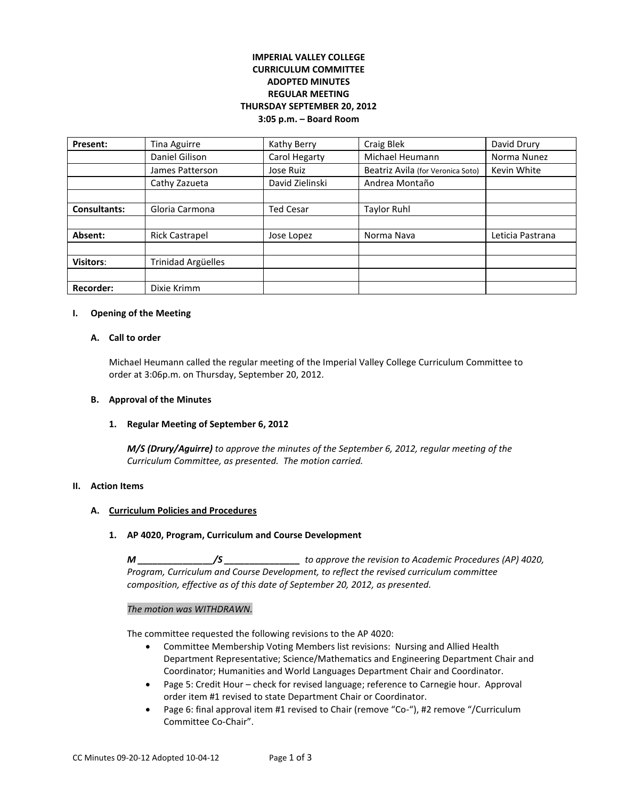# **IMPERIAL VALLEY COLLEGE CURRICULUM COMMITTEE ADOPTED MINUTES REGULAR MEETING THURSDAY SEPTEMBER 20, 2012 3:05 p.m. – Board Room**

| Present:            | Tina Aguirre              | Kathy Berry      | Craig Blek                        | David Drury      |
|---------------------|---------------------------|------------------|-----------------------------------|------------------|
|                     | Daniel Gilison            | Carol Hegarty    | Michael Heumann                   | Norma Nunez      |
|                     | James Patterson           | Jose Ruiz        | Beatriz Avila (for Veronica Soto) | Kevin White      |
|                     | Cathy Zazueta             | David Zielinski  | Andrea Montaño                    |                  |
|                     |                           |                  |                                   |                  |
| <b>Consultants:</b> | Gloria Carmona            | <b>Ted Cesar</b> | <b>Taylor Ruhl</b>                |                  |
|                     |                           |                  |                                   |                  |
| Absent:             | <b>Rick Castrapel</b>     | Jose Lopez       | Norma Nava                        | Leticia Pastrana |
|                     |                           |                  |                                   |                  |
| <b>Visitors:</b>    | <b>Trinidad Argüelles</b> |                  |                                   |                  |
|                     |                           |                  |                                   |                  |
| <b>Recorder:</b>    | Dixie Krimm               |                  |                                   |                  |

#### **I. Opening of the Meeting**

#### **A. Call to order**

Michael Heumann called the regular meeting of the Imperial Valley College Curriculum Committee to order at 3:06p.m. on Thursday, September 20, 2012.

### **B. Approval of the Minutes**

### **1. Regular Meeting of September 6, 2012**

*M/S (Drury/Aguirre) to approve the minutes of the September 6, 2012, regular meeting of the Curriculum Committee, as presented. The motion carried.* 

### **II. Action Items**

# **A. Curriculum Policies and Procedures**

### **1. AP 4020, Program, Curriculum and Course Development**

*M \_\_\_\_\_\_\_\_\_\_\_\_\_\_\_/S \_\_\_\_\_\_\_\_\_\_\_\_\_\_\_ to approve the revision to Academic Procedures (AP) 4020, Program, Curriculum and Course Development, to reflect the revised curriculum committee composition, effective as of this date of September 20, 2012, as presented.* 

#### *The motion was WITHDRAWN.*

The committee requested the following revisions to the AP 4020:

- Committee Membership Voting Members list revisions: Nursing and Allied Health Department Representative; Science/Mathematics and Engineering Department Chair and Coordinator; Humanities and World Languages Department Chair and Coordinator.
- Page 5: Credit Hour check for revised language; reference to Carnegie hour. Approval order item #1 revised to state Department Chair or Coordinator.
- Page 6: final approval item #1 revised to Chair (remove "Co-"), #2 remove "/Curriculum Committee Co-Chair".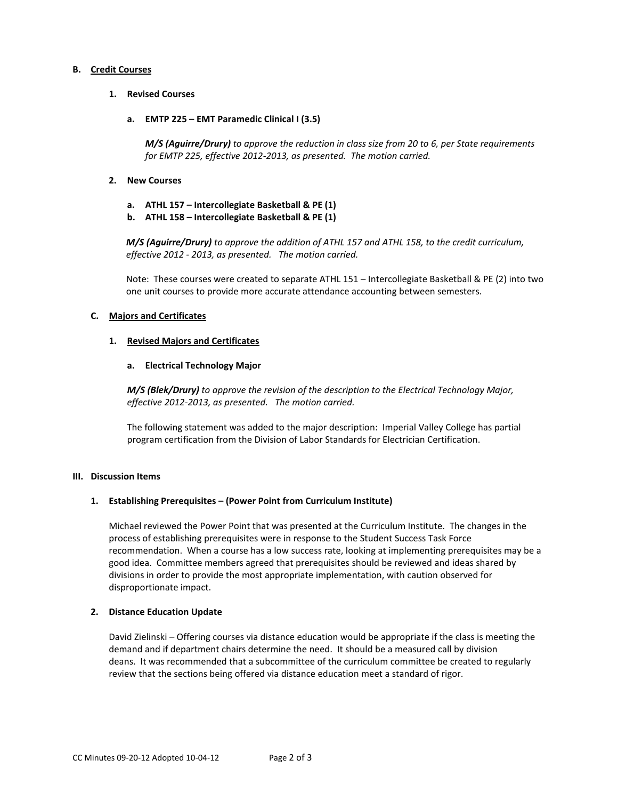### **B. Credit Courses**

- **1. Revised Courses**
	- **a. EMTP 225 – EMT Paramedic Clinical I (3.5)**

*M/S (Aguirre/Drury) to approve the reduction in class size from 20 to 6, per State requirements for EMTP 225, effective 2012-2013, as presented. The motion carried.*

- **2. New Courses**
	- **a. ATHL 157 – Intercollegiate Basketball & PE (1)**
	- **b. ATHL 158 – Intercollegiate Basketball & PE (1)**

*M/S (Aguirre/Drury) to approve the addition of ATHL 157 and ATHL 158, to the credit curriculum, effective 2012 - 2013, as presented. The motion carried.*

Note: These courses were created to separate ATHL 151 – Intercollegiate Basketball & PE (2) into two one unit courses to provide more accurate attendance accounting between semesters.

### **C. Majors and Certificates**

### **1. Revised Majors and Certificates**

## **a. Electrical Technology Major**

*M/S (Blek/Drury) to approve the revision of the description to the Electrical Technology Major, effective 2012-2013, as presented. The motion carried.*

The following statement was added to the major description: Imperial Valley College has partial program certification from the Division of Labor Standards for Electrician Certification.

### **III. Discussion Items**

### **1. Establishing Prerequisites – (Power Point from Curriculum Institute)**

Michael reviewed the Power Point that was presented at the Curriculum Institute. The changes in the process of establishing prerequisites were in response to the Student Success Task Force recommendation. When a course has a low success rate, looking at implementing prerequisites may be a good idea. Committee members agreed that prerequisites should be reviewed and ideas shared by divisions in order to provide the most appropriate implementation, with caution observed for disproportionate impact.

### **2. Distance Education Update**

David Zielinski – Offering courses via distance education would be appropriate if the class is meeting the demand and if department chairs determine the need. It should be a measured call by division deans. It was recommended that a subcommittee of the curriculum committee be created to regularly review that the sections being offered via distance education meet a standard of rigor.